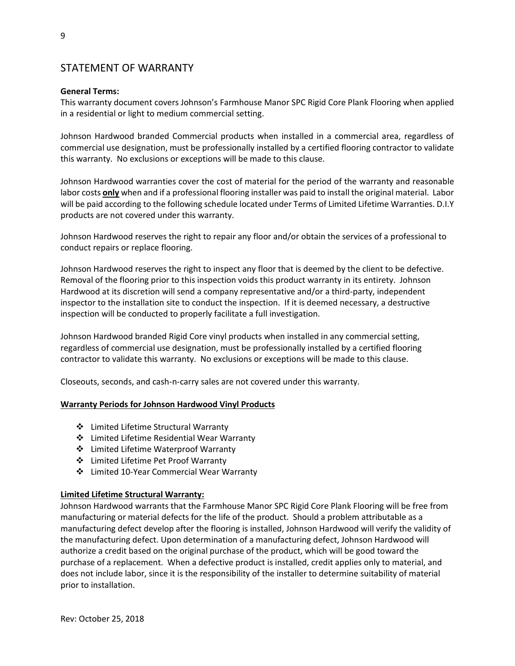# STATEMENT OF WARRANTY

# **General Terms:**

This warranty document covers Johnson's Farmhouse Manor SPC Rigid Core Plank Flooring when applied in a residential or light to medium commercial setting.

Johnson Hardwood branded Commercial products when installed in a commercial area, regardless of commercial use designation, must be professionally installed by a certified flooring contractor to validate this warranty. No exclusions or exceptions will be made to this clause.

Johnson Hardwood warranties cover the cost of material for the period of the warranty and reasonable labor costs **only** when and if a professional flooring installer was paid to install the original material. Labor will be paid according to the following schedule located under Terms of Limited Lifetime Warranties. D.I.Y products are not covered under this warranty.

Johnson Hardwood reserves the right to repair any floor and/or obtain the services of a professional to conduct repairs or replace flooring.

Johnson Hardwood reserves the right to inspect any floor that is deemed by the client to be defective. Removal of the flooring prior to this inspection voids this product warranty in its entirety. Johnson Hardwood at its discretion will send a company representative and/or a third-party, independent inspector to the installation site to conduct the inspection. If it is deemed necessary, a destructive inspection will be conducted to properly facilitate a full investigation.

Johnson Hardwood branded Rigid Core vinyl products when installed in any commercial setting, regardless of commercial use designation, must be professionally installed by a certified flooring contractor to validate this warranty. No exclusions or exceptions will be made to this clause.

Closeouts, seconds, and cash-n-carry sales are not covered under this warranty.

#### **Warranty Periods for Johnson Hardwood Vinyl Products**

- Limited Lifetime Structural Warranty
- Limited Lifetime Residential Wear Warranty
- Limited Lifetime Waterproof Warranty
- Limited Lifetime Pet Proof Warranty
- Limited 10-Year Commercial Wear Warranty

#### **Limited Lifetime Structural Warranty:**

Johnson Hardwood warrants that the Farmhouse Manor SPC Rigid Core Plank Flooring will be free from manufacturing or material defects for the life of the product. Should a problem attributable as a manufacturing defect develop after the flooring is installed, Johnson Hardwood will verify the validity of the manufacturing defect. Upon determination of a manufacturing defect, Johnson Hardwood will authorize a credit based on the original purchase of the product, which will be good toward the purchase of a replacement. When a defective product is installed, credit applies only to material, and does not include labor, since it is the responsibility of the installer to determine suitability of material prior to installation.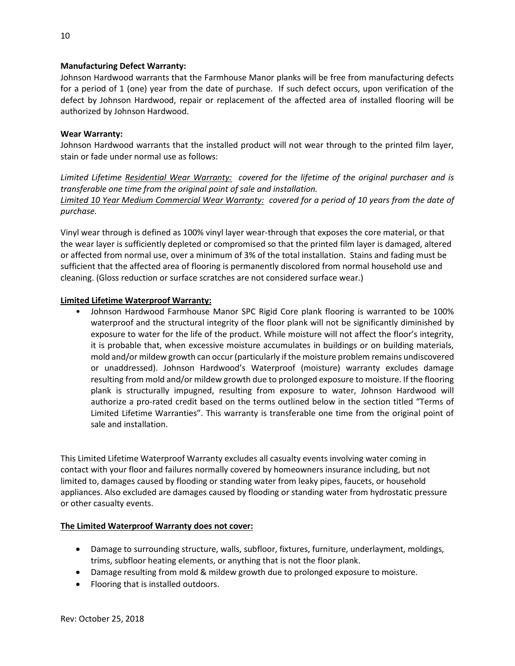# **Manufacturing Defect Warranty:**

Johnson Hardwood warrants that the Farmhouse Manor planks will be free from manufacturing defects for a period of 1 (one) year from the date of purchase. If such defect occurs, upon verification of the defect by Johnson Hardwood, repair or replacement of the affected area of installed flooring will be authorized by Johnson Hardwood.

#### **Wear Warranty:**

Johnson Hardwood warrants that the installed product will not wear through to the printed film layer, stain or fade under normal use as follows:

*Limited Lifetime Residential Wear Warranty: covered for the lifetime of the original purchaser and is transferable one time from the original point of sale and installation. Limited 10 Year Medium Commercial Wear Warranty: covered for a period of 10 years from the date of purchase.*

Vinyl wear through is defined as 100% vinyl layer wear-through that exposes the core material, or that the wear layer is sufficiently depleted or compromised so that the printed film layer is damaged, altered or affected from normal use, over a minimum of 3% of the total installation. Stains and fading must be sufficient that the affected area of flooring is permanently discolored from normal household use and cleaning. (Gloss reduction or surface scratches are not considered surface wear.)

# **Limited Lifetime Waterproof Warranty:**

• Johnson Hardwood Farmhouse Manor SPC Rigid Core plank flooring is warranted to be 100% waterproof and the structural integrity of the floor plank will not be significantly diminished by exposure to water for the life of the product. While moisture will not affect the floor's integrity, it is probable that, when excessive moisture accumulates in buildings or on building materials, mold and/or mildew growth can occur (particularly if the moisture problem remains undiscovered or unaddressed). Johnson Hardwood's Waterproof (moisture) warranty excludes damage resulting from mold and/or mildew growth due to prolonged exposure to moisture. If the flooring plank is structurally impugned, resulting from exposure to water, Johnson Hardwood will authorize a pro-rated credit based on the terms outlined below in the section titled "Terms of Limited Lifetime Warranties". This warranty is transferable one time from the original point of sale and installation.

This Limited Lifetime Waterproof Warranty excludes all casualty events involving water coming in contact with your floor and failures normally covered by homeowners insurance including, but not limited to, damages caused by flooding or standing water from leaky pipes, faucets, or household appliances. Also excluded are damages caused by flooding or standing water from hydrostatic pressure or other casualty events.

#### **The Limited Waterproof Warranty does not cover:**

- Damage to surrounding structure, walls, subfloor, fixtures, furniture, underlayment, moldings, trims, subfloor heating elements, or anything that is not the floor plank.
- Damage resulting from mold & mildew growth due to prolonged exposure to moisture.
- Flooring that is installed outdoors.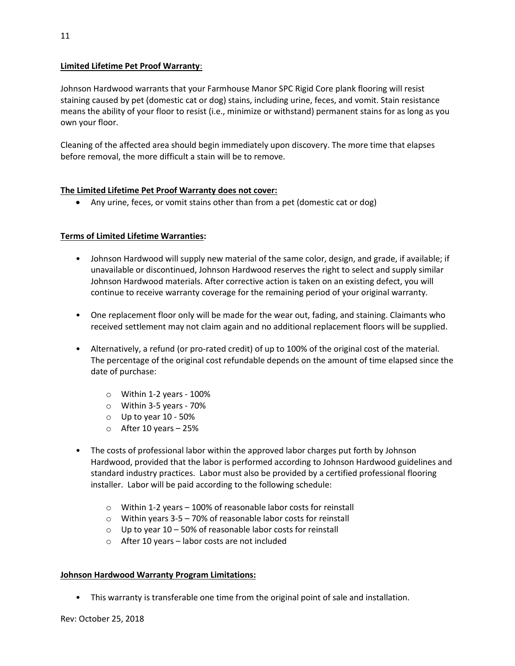### **Limited Lifetime Pet Proof Warranty**:

Johnson Hardwood warrants that your Farmhouse Manor SPC Rigid Core plank flooring will resist staining caused by pet (domestic cat or dog) stains, including urine, feces, and vomit. Stain resistance means the ability of your floor to resist (i.e., minimize or withstand) permanent stains for as long as you own your floor.

Cleaning of the affected area should begin immediately upon discovery. The more time that elapses before removal, the more difficult a stain will be to remove.

# **The Limited Lifetime Pet Proof Warranty does not cover:**

Any urine, feces, or vomit stains other than from a pet (domestic cat or dog)

# **Terms of Limited Lifetime Warranties:**

- Johnson Hardwood will supply new material of the same color, design, and grade, if available; if unavailable or discontinued, Johnson Hardwood reserves the right to select and supply similar Johnson Hardwood materials. After corrective action is taken on an existing defect, you will continue to receive warranty coverage for the remaining period of your original warranty.
- One replacement floor only will be made for the wear out, fading, and staining. Claimants who received settlement may not claim again and no additional replacement floors will be supplied.
- Alternatively, a refund (or pro-rated credit) of up to 100% of the original cost of the material. The percentage of the original cost refundable depends on the amount of time elapsed since the date of purchase:
	- o Within 1-2 years 100%
	- o Within 3-5 years 70%
	- $\circ$  Up to year 10 50%
	- $\circ$  After 10 years 25%
- The costs of professional labor within the approved labor charges put forth by Johnson Hardwood, provided that the labor is performed according to Johnson Hardwood guidelines and standard industry practices. Labor must also be provided by a certified professional flooring installer. Labor will be paid according to the following schedule:
	- o Within 1-2 years 100% of reasonable labor costs for reinstall
	- o Within years 3-5 70% of reasonable labor costs for reinstall
	- $\circ$  Up to year 10 50% of reasonable labor costs for reinstall
	- o After 10 years labor costs are not included

#### **Johnson Hardwood Warranty Program Limitations:**

• This warranty is transferable one time from the original point of sale and installation.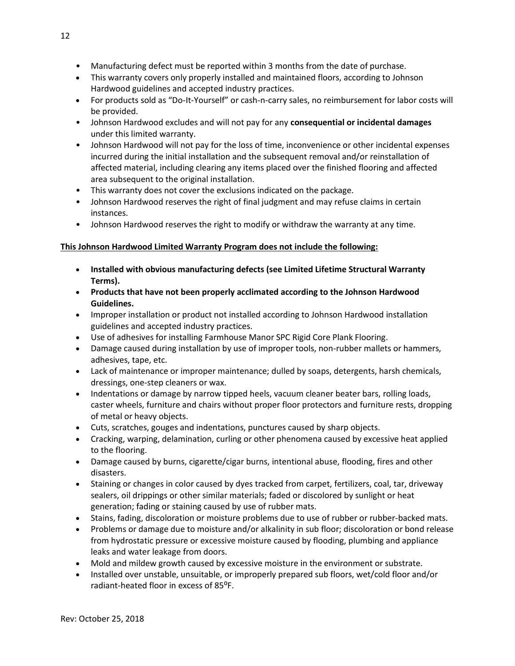- Manufacturing defect must be reported within 3 months from the date of purchase.
- This warranty covers only properly installed and maintained floors, according to Johnson Hardwood guidelines and accepted industry practices.
- For products sold as "Do-It-Yourself" or cash-n-carry sales, no reimbursement for labor costs will be provided.
- Johnson Hardwood excludes and will not pay for any **consequential or incidental damages**  under this limited warranty.
- Johnson Hardwood will not pay for the loss of time, inconvenience or other incidental expenses incurred during the initial installation and the subsequent removal and/or reinstallation of affected material, including clearing any items placed over the finished flooring and affected area subsequent to the original installation.
- This warranty does not cover the exclusions indicated on the package.
- Johnson Hardwood reserves the right of final judgment and may refuse claims in certain instances.
- Johnson Hardwood reserves the right to modify or withdraw the warranty at any time.

# **This Johnson Hardwood Limited Warranty Program does not include the following:**

- **Installed with obvious manufacturing defects (see Limited Lifetime Structural Warranty Terms).**
- **Products that have not been properly acclimated according to the Johnson Hardwood Guidelines.**
- Improper installation or product not installed according to Johnson Hardwood installation guidelines and accepted industry practices.
- Use of adhesives for installing Farmhouse Manor SPC Rigid Core Plank Flooring.
- Damage caused during installation by use of improper tools, non-rubber mallets or hammers, adhesives, tape, etc.
- Lack of maintenance or improper maintenance; dulled by soaps, detergents, harsh chemicals, dressings, one-step cleaners or wax.
- Indentations or damage by narrow tipped heels, vacuum cleaner beater bars, rolling loads, caster wheels, furniture and chairs without proper floor protectors and furniture rests, dropping of metal or heavy objects.
- Cuts, scratches, gouges and indentations, punctures caused by sharp objects.
- Cracking, warping, delamination, curling or other phenomena caused by excessive heat applied to the flooring.
- Damage caused by burns, cigarette/cigar burns, intentional abuse, flooding, fires and other disasters.
- Staining or changes in color caused by dyes tracked from carpet, fertilizers, coal, tar, driveway sealers, oil drippings or other similar materials; faded or discolored by sunlight or heat generation; fading or staining caused by use of rubber mats.
- Stains, fading, discoloration or moisture problems due to use of rubber or rubber-backed mats.
- Problems or damage due to moisture and/or alkalinity in sub floor; discoloration or bond release from hydrostatic pressure or excessive moisture caused by flooding, plumbing and appliance leaks and water leakage from doors.
- Mold and mildew growth caused by excessive moisture in the environment or substrate.
- Installed over unstable, unsuitable, or improperly prepared sub floors, wet/cold floor and/or radiant-heated floor in excess of 85<sup>o</sup>F.